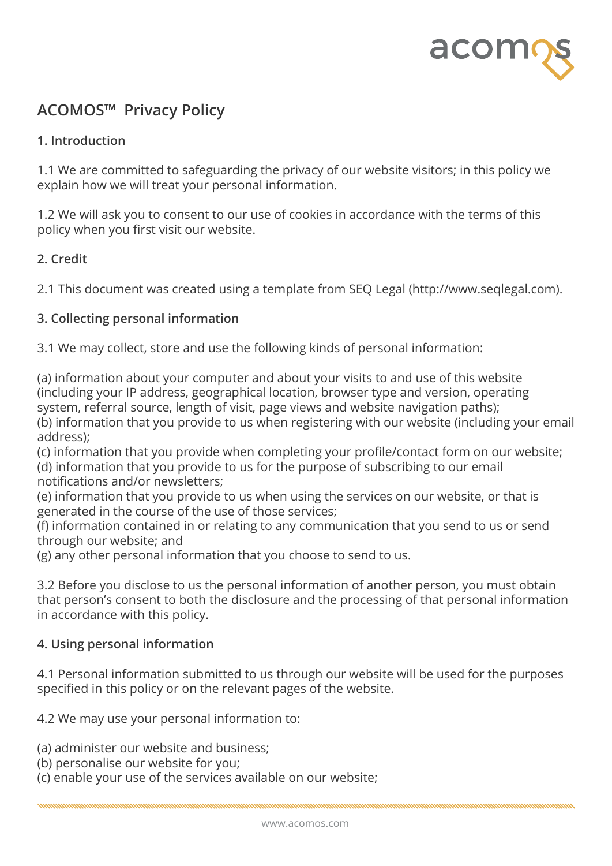

# **ACOMOS™ Privacy Policy**

## **1. Introduction**

1.1 We are committed to safeguarding the privacy of our website visitors; in this policy we explain how we will treat your personal information.

1.2 We will ask you to consent to our use of cookies in accordance with the terms of this policy when you first visit our website.

# **2. Credit**

2.1 This document was created using a template from SEQ Legal (http://www.seqlegal.com).

## **3. Collecting personal information**

3.1 We may collect, store and use the following kinds of personal information:

(a) information about your computer and about your visits to and use of this website (including your IP address, geographical location, browser type and version, operating system, referral source, length of visit, page views and website navigation paths); (b) information that you provide to us when registering with our website (including your email address);

(c) information that you provide when completing your profile/contact form on our website; (d) information that you provide to us for the purpose of subscribing to our email notifications and/or newsletters;

(e) information that you provide to us when using the services on our website, or that is generated in the course of the use of those services;

(f) information contained in or relating to any communication that you send to us or send through our website; and

(g) any other personal information that you choose to send to us.

3.2 Before you disclose to us the personal information of another person, you must obtain that person's consent to both the disclosure and the processing of that personal information in accordance with this policy.

#### **4. Using personal information**

4.1 Personal information submitted to us through our website will be used for the purposes specified in this policy or on the relevant pages of the website.

4.2 We may use your personal information to:

(a) administer our website and business;

(b) personalise our website for you;

(c) enable your use of the services available on our website;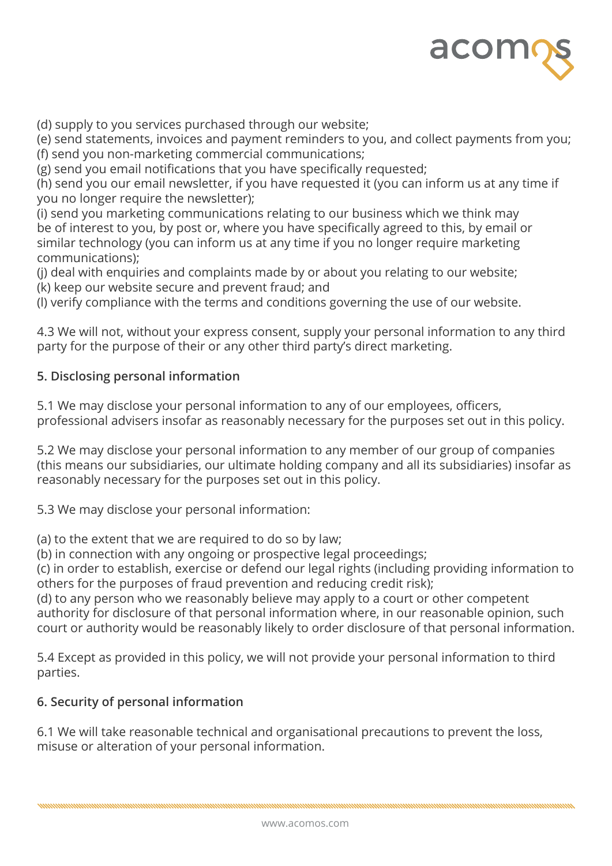

(d) supply to you services purchased through our website;

(e) send statements, invoices and payment reminders to you, and collect payments from you; (f) send you non-marketing commercial communications;

(g) send you email notifications that you have specifically requested;

(h) send you our email newsletter, if you have requested it (you can inform us at any time if you no longer require the newsletter);

(i) send you marketing communications relating to our business which we think may be of interest to you, by post or, where you have specifically agreed to this, by email or similar technology (you can inform us at any time if you no longer require marketing communications);

(j) deal with enquiries and complaints made by or about you relating to our website; (k) keep our website secure and prevent fraud; and

(l) verify compliance with the terms and conditions governing the use of our website.

4.3 We will not, without your express consent, supply your personal information to any third party for the purpose of their or any other third party's direct marketing.

## **5. Disclosing personal information**

5.1 We may disclose your personal information to any of our employees, officers, professional advisers insofar as reasonably necessary for the purposes set out in this policy.

5.2 We may disclose your personal information to any member of our group of companies (this means our subsidiaries, our ultimate holding company and all its subsidiaries) insofar as reasonably necessary for the purposes set out in this policy.

5.3 We may disclose your personal information:

(a) to the extent that we are required to do so by law;

(b) in connection with any ongoing or prospective legal proceedings;

(c) in order to establish, exercise or defend our legal rights (including providing information to others for the purposes of fraud prevention and reducing credit risk);

(d) to any person who we reasonably believe may apply to a court or other competent authority for disclosure of that personal information where, in our reasonable opinion, such court or authority would be reasonably likely to order disclosure of that personal information.

5.4 Except as provided in this policy, we will not provide your personal information to third parties.

# **6. Security of personal information**

6.1 We will take reasonable technical and organisational precautions to prevent the loss, misuse or alteration of your personal information.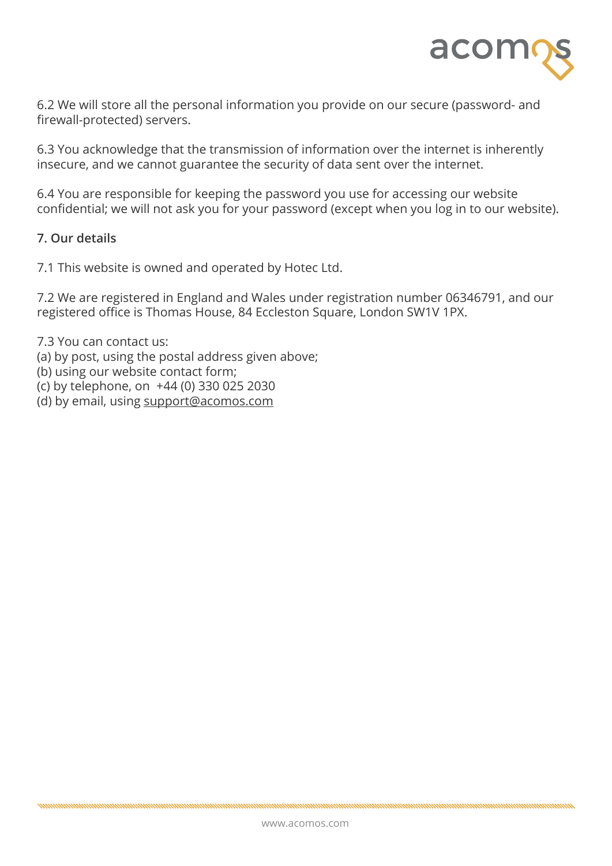

6.2 We will store all the personal information you provide on our secure (password- and firewall-protected) servers.

6.3 You acknowledge that the transmission of information over the internet is inherently insecure, and we cannot guarantee the security of data sent over the internet.

6.4 You are responsible for keeping the password you use for accessing our website confidential; we will not ask you for your password (except when you log in to our website).

#### **7. Our details**

7.1 This website is owned and operated by Hotec Ltd.

7.2 We are registered in England and Wales under registration number 06346791, and our registered office is Thomas House, 84 Eccleston Square, London SW1V 1PX.

7.3 You can contact us: (a) by post, using the postal address given above; (b) using our website contact form; (c) by telephone, on +44 (0) 330 025 2030 (d) by email, using [support@acomos.com](mailto:support%40acomos.com?subject=)